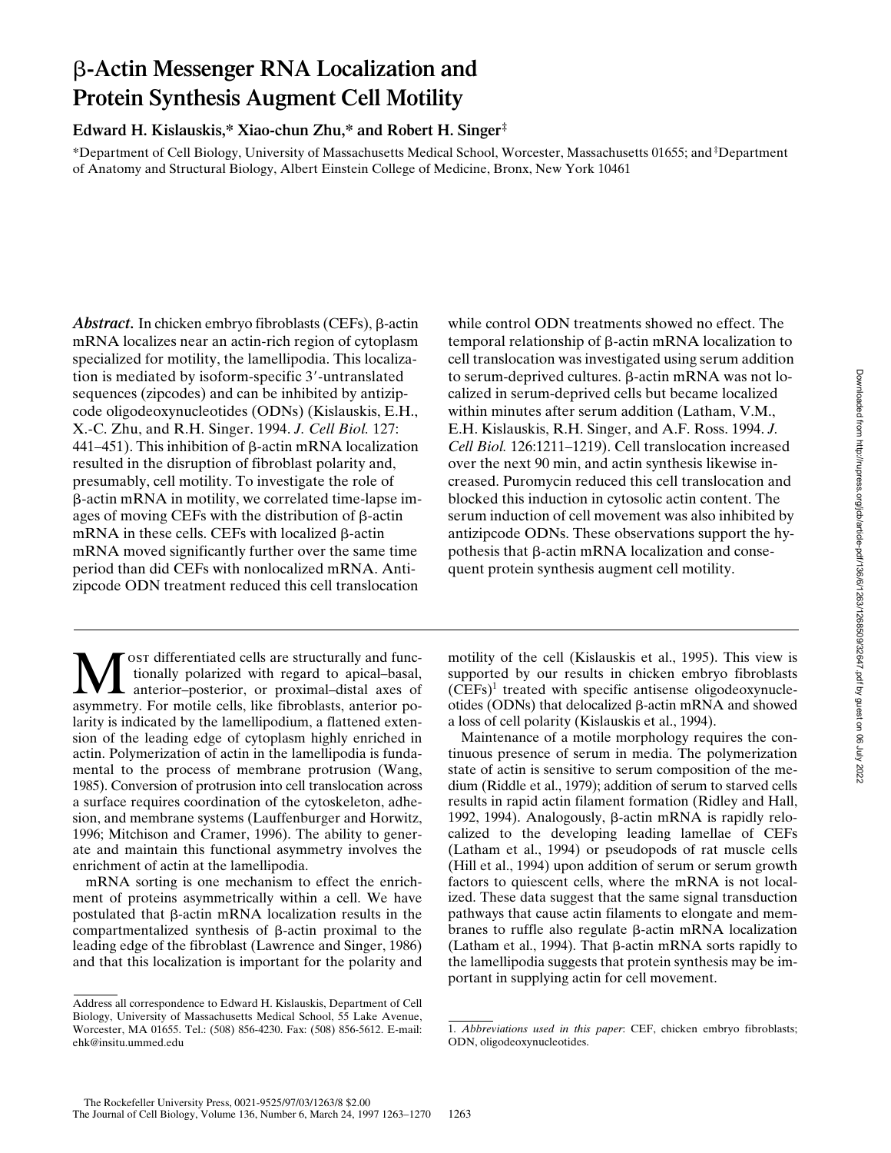# b**-Actin Messenger RNA Localization and Protein Synthesis Augment Cell Motility**

### **Edward H. Kislauskis,\* Xiao-chun Zhu,\* and Robert H. Singer‡**

\*Department of Cell Biology, University of Massachusetts Medical School, Worcester, Massachusetts 01655; and ‡ Department of Anatomy and Structural Biology, Albert Einstein College of Medicine, Bronx, New York 10461

Abstract. In chicken embryo fibroblasts (CEFs),  $\beta$ -actin mRNA localizes near an actin-rich region of cytoplasm specialized for motility, the lamellipodia. This localization is mediated by isoform-specific 3'-untranslated sequences (zipcodes) and can be inhibited by antizipcode oligodeoxynucleotides (ODNs) (Kislauskis, E.H., X.-C. Zhu, and R.H. Singer. 1994. *J. Cell Biol.* 127: 441–451). This inhibition of  $\beta$ -actin mRNA localization resulted in the disruption of fibroblast polarity and, presumably, cell motility. To investigate the role of b-actin mRNA in motility, we correlated time-lapse images of moving CEFs with the distribution of  $\beta$ -actin mRNA in these cells. CEFs with localized  $\beta$ -actin mRNA moved significantly further over the same time period than did CEFs with nonlocalized mRNA. Antizipcode ODN treatment reduced this cell translocation

ost differentiated cells are structurally and functionally polarized with regard to apical–basal, anterior–posterior, or proximal–distal axes of asymmetry. For motile cells, like fibroblasts, anterior polarity is indicated by the lamellipodium, a flattened extension of the leading edge of cytoplasm highly enriched in actin. Polymerization of actin in the lamellipodia is fundamental to the process of membrane protrusion (Wang, 1985). Conversion of protrusion into cell translocation across a surface requires coordination of the cytoskeleton, adhesion, and membrane systems (Lauffenburger and Horwitz, 1996; Mitchison and Cramer, 1996). The ability to generate and maintain this functional asymmetry involves the enrichment of actin at the lamellipodia.

mRNA sorting is one mechanism to effect the enrichment of proteins asymmetrically within a cell. We have postulated that  $\beta$ -actin mRNA localization results in the compartmentalized synthesis of  $\beta$ -actin proximal to the leading edge of the fibroblast (Lawrence and Singer, 1986) and that this localization is important for the polarity and while control ODN treatments showed no effect. The temporal relationship of b-actin mRNA localization to cell translocation was investigated using serum addition to serum-deprived cultures. β-actin mRNA was not localized in serum-deprived cells but became localized within minutes after serum addition (Latham, V.M., E.H. Kislauskis, R.H. Singer, and A.F. Ross. 1994. *J. Cell Biol.* 126:1211–1219). Cell translocation increased over the next 90 min, and actin synthesis likewise increased. Puromycin reduced this cell translocation and blocked this induction in cytosolic actin content. The serum induction of cell movement was also inhibited by antizipcode ODNs. These observations support the hypothesis that  $\beta$ -actin mRNA localization and consequent protein synthesis augment cell motility.

motility of the cell (Kislauskis et al., 1995). This view is supported by our results in chicken embryo fibroblasts (CEFs)1 treated with specific antisense oligodeoxynucleotides (ODNs) that delocalized  $\beta$ -actin mRNA and showed a loss of cell polarity (Kislauskis et al., 1994).

Maintenance of a motile morphology requires the continuous presence of serum in media. The polymerization state of actin is sensitive to serum composition of the medium (Riddle et al., 1979); addition of serum to starved cells results in rapid actin filament formation (Ridley and Hall, 1992, 1994). Analogously,  $β$ -actin mRNA is rapidly relocalized to the developing leading lamellae of CEFs (Latham et al., 1994) or pseudopods of rat muscle cells (Hill et al., 1994) upon addition of serum or serum growth factors to quiescent cells, where the mRNA is not localized. These data suggest that the same signal transduction pathways that cause actin filaments to elongate and membranes to ruffle also regulate  $\beta$ -actin mRNA localization (Latham et al., 1994). That  $\beta$ -actin mRNA sorts rapidly to the lamellipodia suggests that protein synthesis may be important in supplying actin for cell movement.

Address all correspondence to Edward H. Kislauskis, Department of Cell Biology, University of Massachusetts Medical School, 55 Lake Avenue, Worcester, MA 01655. Tel.: (508) 856-4230. Fax: (508) 856-5612. E-mail: ehk@insitu.ummed.edu

<sup>1.</sup> *Abbreviations used in this paper*: CEF, chicken embryo fibroblasts; ODN, oligodeoxynucleotides.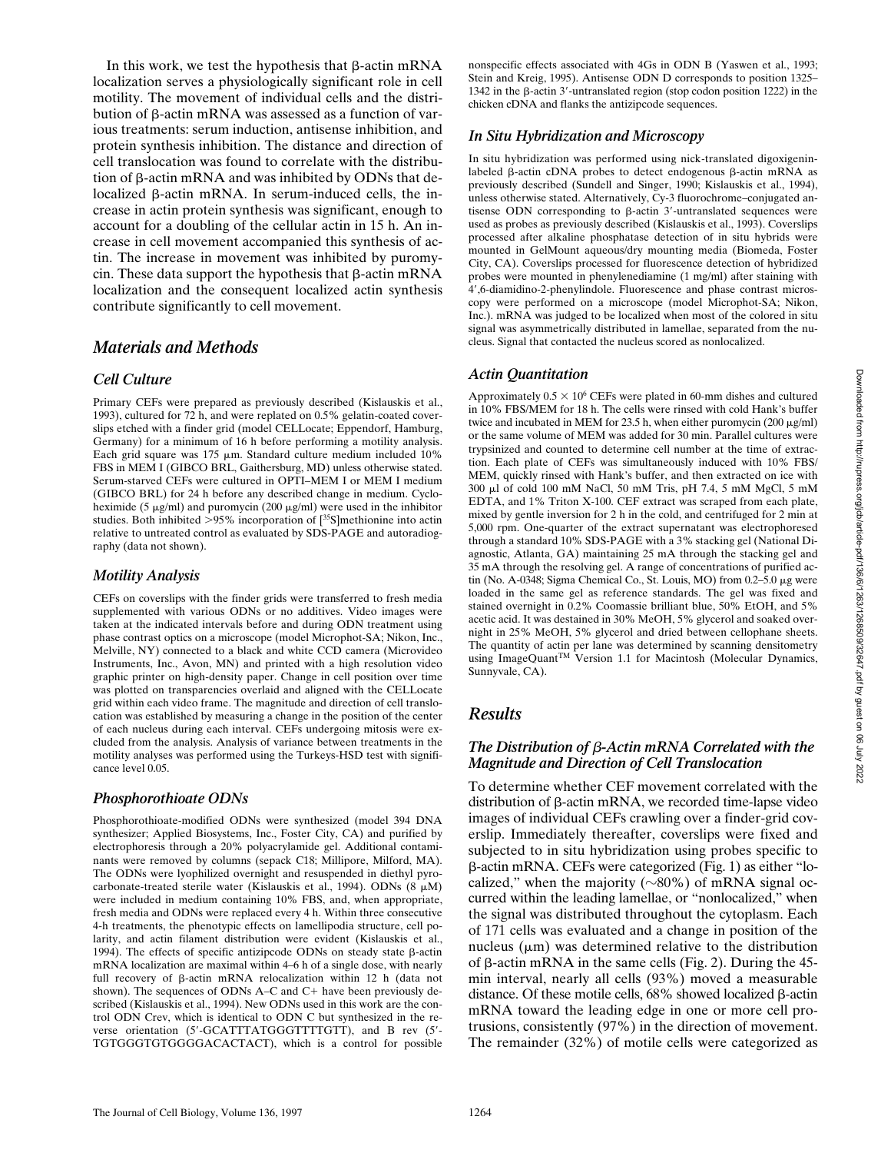In this work, we test the hypothesis that  $\beta$ -actin mRNA localization serves a physiologically significant role in cell motility. The movement of individual cells and the distribution of  $\beta$ -actin mRNA was assessed as a function of various treatments: serum induction, antisense inhibition, and protein synthesis inhibition. The distance and direction of cell translocation was found to correlate with the distribution of  $\beta$ -actin mRNA and was inhibited by ODNs that delocalized  $\beta$ -actin mRNA. In serum-induced cells, the increase in actin protein synthesis was significant, enough to account for a doubling of the cellular actin in 15 h. An increase in cell movement accompanied this synthesis of actin. The increase in movement was inhibited by puromycin. These data support the hypothesis that  $\beta$ -actin mRNA localization and the consequent localized actin synthesis contribute significantly to cell movement.

### *Materials and Methods*

### *Cell Culture*

Primary CEFs were prepared as previously described (Kislauskis et al., 1993), cultured for 72 h, and were replated on 0.5% gelatin-coated coverslips etched with a finder grid (model CELLocate; Eppendorf, Hamburg, Germany) for a minimum of 16 h before performing a motility analysis. Each grid square was  $175 \mu m$ . Standard culture medium included  $10\%$ FBS in MEM I (GIBCO BRL, Gaithersburg, MD) unless otherwise stated. Serum-starved CEFs were cultured in OPTI–MEM I or MEM I medium (GIBCO BRL) for 24 h before any described change in medium. Cycloheximide (5  $\mu$ g/ml) and puromycin (200  $\mu$ g/ml) were used in the inhibitor studies. Both inhibited  $>95\%$  incorporation of  $[^{35}S]$ methionine into actin relative to untreated control as evaluated by SDS-PAGE and autoradiography (data not shown).

### *Motility Analysis*

CEFs on coverslips with the finder grids were transferred to fresh media supplemented with various ODNs or no additives. Video images were taken at the indicated intervals before and during ODN treatment using phase contrast optics on a microscope (model Microphot-SA; Nikon, Inc., Melville, NY) connected to a black and white CCD camera (Microvideo Instruments, Inc., Avon, MN) and printed with a high resolution video graphic printer on high-density paper. Change in cell position over time was plotted on transparencies overlaid and aligned with the CELLocate grid within each video frame. The magnitude and direction of cell translocation was established by measuring a change in the position of the center of each nucleus during each interval. CEFs undergoing mitosis were excluded from the analysis. Analysis of variance between treatments in the motility analyses was performed using the Turkeys-HSD test with significance level 0.05.

#### *Phosphorothioate ODNs*

Phosphorothioate-modified ODNs were synthesized (model 394 DNA synthesizer; Applied Biosystems, Inc., Foster City, CA) and purified by electrophoresis through a 20% polyacrylamide gel. Additional contaminants were removed by columns (sepack C18; Millipore, Milford, MA). The ODNs were lyophilized overnight and resuspended in diethyl pyrocarbonate-treated sterile water (Kislauskis et al., 1994). ODNs (8  $\mu$ M) were included in medium containing 10% FBS, and, when appropriate, fresh media and ODNs were replaced every 4 h. Within three consecutive 4-h treatments, the phenotypic effects on lamellipodia structure, cell polarity, and actin filament distribution were evident (Kislauskis et al., 1994). The effects of specific antizipcode ODNs on steady state  $\beta$ -actin mRNA localization are maximal within 4–6 h of a single dose, with nearly full recovery of  $\beta$ -actin mRNA relocalization within 12 h (data not shown). The sequences of ODNs A–C and  $C+$  have been previously described (Kislauskis et al., 1994). New ODNs used in this work are the control ODN Crev, which is identical to ODN C but synthesized in the reverse orientation (5'-GCATTTATGGGTTTTGTT), and B rev (5'-TGTGGGTGTGGGGACACTACT), which is a control for possible

nonspecific effects associated with 4Gs in ODN B (Yaswen et al., 1993; Stein and Kreig, 1995). Antisense ODN D corresponds to position 1325– 1342 in the  $\beta$ -actin 3'-untranslated region (stop codon position 1222) in the chicken cDNA and flanks the antizipcode sequences.

### *In Situ Hybridization and Microscopy*

In situ hybridization was performed using nick-translated digoxigeninlabeled  $\beta$ -actin cDNA probes to detect endogenous  $\beta$ -actin mRNA as previously described (Sundell and Singer, 1990; Kislauskis et al., 1994), unless otherwise stated. Alternatively, Cy-3 fluorochrome–conjugated antisense ODN corresponding to  $\beta$ -actin 3'-untranslated sequences were used as probes as previously described (Kislauskis et al., 1993). Coverslips processed after alkaline phosphatase detection of in situ hybrids were mounted in GelMount aqueous/dry mounting media (Biomeda, Foster City, CA). Coverslips processed for fluorescence detection of hybridized probes were mounted in phenylenediamine (1 mg/ml) after staining with 4',6-diamidino-2-phenylindole. Fluorescence and phase contrast microscopy were performed on a microscope (model Microphot-SA; Nikon, Inc.). mRNA was judged to be localized when most of the colored in situ signal was asymmetrically distributed in lamellae, separated from the nucleus. Signal that contacted the nucleus scored as nonlocalized.

### *Actin Quantitation*

Approximately  $0.5 \times 10^6$  CEFs were plated in 60-mm dishes and cultured in 10% FBS/MEM for 18 h. The cells were rinsed with cold Hank's buffer twice and incubated in MEM for 23.5 h, when either puromycin (200  $\mu$ g/ml) or the same volume of MEM was added for 30 min. Parallel cultures were trypsinized and counted to determine cell number at the time of extraction. Each plate of CEFs was simultaneously induced with 10% FBS/ MEM, quickly rinsed with Hank's buffer, and then extracted on ice with 300 ml of cold 100 mM NaCl, 50 mM Tris, pH 7.4, 5 mM MgCl, 5 mM EDTA, and 1% Triton X-100. CEF extract was scraped from each plate, mixed by gentle inversion for 2 h in the cold, and centrifuged for 2 min at 5,000 rpm. One-quarter of the extract supernatant was electrophoresed through a standard 10% SDS-PAGE with a 3% stacking gel (National Diagnostic, Atlanta, GA) maintaining 25 mA through the stacking gel and 35 mA through the resolving gel. A range of concentrations of purified actin (No. A-0348; Sigma Chemical Co., St. Louis, MO) from  $0.2-5.0 \mu$ g were loaded in the same gel as reference standards. The gel was fixed and stained overnight in 0.2% Coomassie brilliant blue, 50% EtOH, and 5% acetic acid. It was destained in 30% MeOH, 5% glycerol and soaked overnight in 25% MeOH, 5% glycerol and dried between cellophane sheets. The quantity of actin per lane was determined by scanning densitometry using ImageQuant<sup>TM</sup> Version 1.1 for Macintosh (Molecular Dynamics, Sunnyvale, CA).

## *Results*

#### *The Distribution of* b*-Actin mRNA Correlated with the Magnitude and Direction of Cell Translocation*

To determine whether CEF movement correlated with the distribution of β-actin mRNA, we recorded time-lapse video images of individual CEFs crawling over a finder-grid coverslip. Immediately thereafter, coverslips were fixed and subjected to in situ hybridization using probes specific to b-actin mRNA. CEFs were categorized (Fig. 1) as either "localized," when the majority ( $\sim$ 80%) of mRNA signal occurred within the leading lamellae, or "nonlocalized," when the signal was distributed throughout the cytoplasm. Each of 171 cells was evaluated and a change in position of the nucleus  $(\mu m)$  was determined relative to the distribution of  $\beta$ -actin mRNA in the same cells (Fig. 2). During the 45min interval, nearly all cells (93%) moved a measurable distance. Of these motile cells,  $68\%$  showed localized  $\beta$ -actin mRNA toward the leading edge in one or more cell protrusions, consistently (97%) in the direction of movement. The remainder (32%) of motile cells were categorized as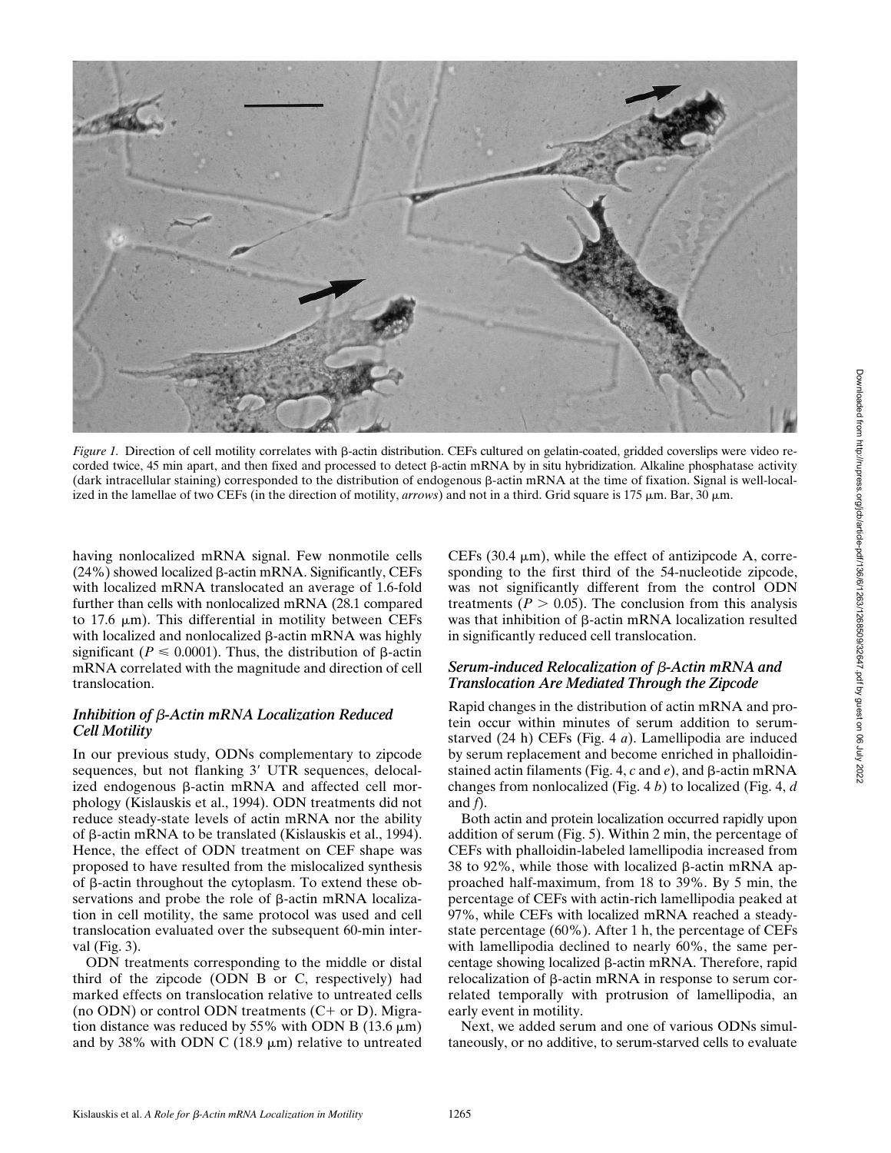

*Figure 1.* Direction of cell motility correlates with  $\beta$ -actin distribution. CEFs cultured on gelatin-coated, gridded coverslips were video recorded twice, 45 min apart, and then fixed and processed to detect  $\beta$ -actin mRNA by in situ hybridization. Alkaline phosphatase activity (dark intracellular staining) corresponded to the distribution of endogenous b-actin mRNA at the time of fixation. Signal is well-localized in the lamellae of two CEFs (in the direction of motility, *arrows*) and not in a third. Grid square is 175  $\mu$ m. Bar, 30  $\mu$ m.

having nonlocalized mRNA signal. Few nonmotile cells  $(24\%)$  showed localized  $\beta$ -actin mRNA. Significantly, CEFs with localized mRNA translocated an average of 1.6-fold further than cells with nonlocalized mRNA (28.1 compared to 17.6  $\mu$ m). This differential in motility between CEFs with localized and nonlocalized  $\beta$ -actin mRNA was highly significant ( $P \le 0.0001$ ). Thus, the distribution of  $\beta$ -actin mRNA correlated with the magnitude and direction of cell translocation.

#### *Inhibition of* b*-Actin mRNA Localization Reduced Cell Motility*

In our previous study, ODNs complementary to zipcode sequences, but not flanking 3' UTR sequences, delocalized endogenous  $\beta$ -actin mRNA and affected cell morphology (Kislauskis et al., 1994). ODN treatments did not reduce steady-state levels of actin mRNA nor the ability of  $\beta$ -actin mRNA to be translated (Kislauskis et al., 1994). Hence, the effect of ODN treatment on CEF shape was proposed to have resulted from the mislocalized synthesis of  $\beta$ -actin throughout the cytoplasm. To extend these observations and probe the role of  $\beta$ -actin mRNA localization in cell motility, the same protocol was used and cell translocation evaluated over the subsequent 60-min interval (Fig. 3).

ODN treatments corresponding to the middle or distal third of the zipcode (ODN B or C, respectively) had marked effects on translocation relative to untreated cells (no ODN) or control ODN treatments  $(C+$  or D). Migration distance was reduced by 55% with ODN B (13.6  $\mu$ m) and by 38% with ODN C (18.9  $\mu$ m) relative to untreated

CEFs (30.4  $\mu$ m), while the effect of antizipcode A, corresponding to the first third of the 54-nucleotide zipcode, was not significantly different from the control ODN treatments ( $P > 0.05$ ). The conclusion from this analysis was that inhibition of  $\beta$ -actin mRNA localization resulted in significantly reduced cell translocation.

### *Serum-induced Relocalization of* b*-Actin mRNA and Translocation Are Mediated Through the Zipcode*

Rapid changes in the distribution of actin mRNA and protein occur within minutes of serum addition to serumstarved (24 h) CEFs (Fig. 4 *a*). Lamellipodia are induced by serum replacement and become enriched in phalloidinstained actin filaments (Fig. 4,  $c$  and  $e$ ), and  $\beta$ -actin mRNA changes from nonlocalized (Fig. 4 *b*) to localized (Fig. 4, *d* and *f*).

Both actin and protein localization occurred rapidly upon addition of serum (Fig. 5). Within 2 min, the percentage of CEFs with phalloidin-labeled lamellipodia increased from 38 to 92%, while those with localized  $\beta$ -actin mRNA approached half-maximum, from 18 to 39%. By 5 min, the percentage of CEFs with actin-rich lamellipodia peaked at 97%, while CEFs with localized mRNA reached a steadystate percentage (60%). After 1 h, the percentage of CEFs with lamellipodia declined to nearly 60%, the same percentage showing localized b-actin mRNA. Therefore, rapid relocalization of  $\beta$ -actin mRNA in response to serum correlated temporally with protrusion of lamellipodia, an early event in motility.

Next, we added serum and one of various ODNs simultaneously, or no additive, to serum-starved cells to evaluate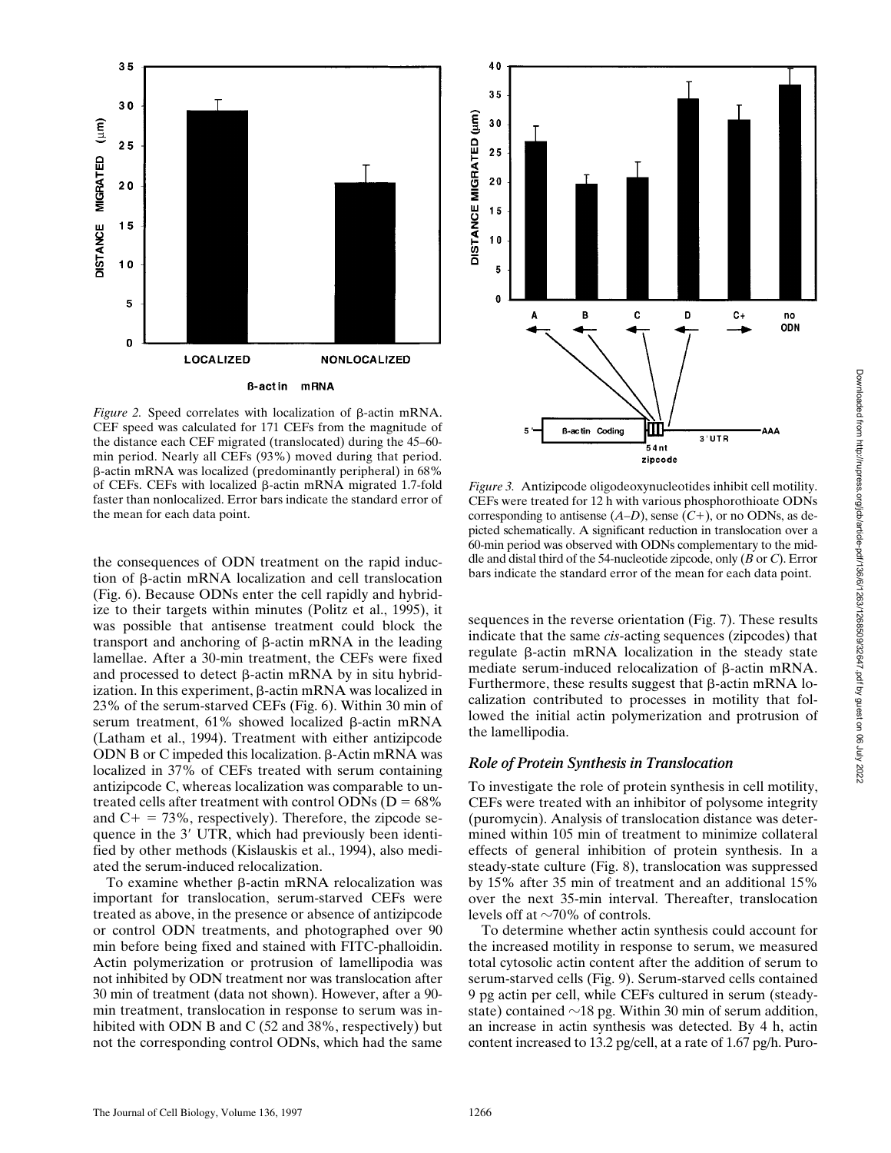

*Figure 2.* Speed correlates with localization of  $\beta$ -actin mRNA. CEF speed was calculated for 171 CEFs from the magnitude of the distance each CEF migrated (translocated) during the 45–60 min period. Nearly all CEFs (93%) moved during that period. b-actin mRNA was localized (predominantly peripheral) in 68% of CEFs. CEFs with localized  $\beta$ -actin mRNA migrated 1.7-fold faster than nonlocalized. Error bars indicate the standard error of the mean for each data point.

the consequences of ODN treatment on the rapid induction of b-actin mRNA localization and cell translocation (Fig. 6). Because ODNs enter the cell rapidly and hybridize to their targets within minutes (Politz et al., 1995), it was possible that antisense treatment could block the transport and anchoring of  $\beta$ -actin mRNA in the leading lamellae. After a 30-min treatment, the CEFs were fixed and processed to detect  $\beta$ -actin mRNA by in situ hybridization. In this experiment,  $\beta$ -actin mRNA was localized in 23% of the serum-starved CEFs (Fig. 6). Within 30 min of serum treatment,  $61\%$  showed localized  $\beta$ -actin mRNA (Latham et al., 1994). Treatment with either antizipcode ODN B or C impeded this localization.  $\beta$ -Actin mRNA was localized in 37% of CEFs treated with serum containing antizipcode C, whereas localization was comparable to untreated cells after treatment with control ODNs ( $D = 68\%$ ) and  $C_+ = 73\%$ , respectively). Therefore, the zipcode sequence in the 3' UTR, which had previously been identified by other methods (Kislauskis et al., 1994), also mediated the serum-induced relocalization.

To examine whether  $\beta$ -actin mRNA relocalization was important for translocation, serum-starved CEFs were treated as above, in the presence or absence of antizipcode or control ODN treatments, and photographed over 90 min before being fixed and stained with FITC-phalloidin. Actin polymerization or protrusion of lamellipodia was not inhibited by ODN treatment nor was translocation after 30 min of treatment (data not shown). However, after a 90 min treatment, translocation in response to serum was inhibited with ODN B and C (52 and 38%, respectively) but not the corresponding control ODNs, which had the same



*Figure 3.* Antizipcode oligodeoxynucleotides inhibit cell motility. CEFs were treated for 12 h with various phosphorothioate ODNs corresponding to antisense  $(A-D)$ , sense  $(C+)$ , or no ODNs, as depicted schematically. A significant reduction in translocation over a 60-min period was observed with ODNs complementary to the middle and distal third of the 54-nucleotide zipcode, only (*B* or *C*). Error bars indicate the standard error of the mean for each data point.

sequences in the reverse orientation (Fig. 7). These results indicate that the same *cis*-acting sequences (zipcodes) that regulate  $\beta$ -actin mRNA localization in the steady state mediate serum-induced relocalization of β-actin mRNA. Furthermore, these results suggest that  $\beta$ -actin mRNA localization contributed to processes in motility that followed the initial actin polymerization and protrusion of the lamellipodia.

#### *Role of Protein Synthesis in Translocation*

To investigate the role of protein synthesis in cell motility, CEFs were treated with an inhibitor of polysome integrity (puromycin). Analysis of translocation distance was determined within 105 min of treatment to minimize collateral effects of general inhibition of protein synthesis. In a steady-state culture (Fig. 8), translocation was suppressed by 15% after 35 min of treatment and an additional 15% over the next 35-min interval. Thereafter, translocation levels off at  $\sim$ 70% of controls.

To determine whether actin synthesis could account for the increased motility in response to serum, we measured total cytosolic actin content after the addition of serum to serum-starved cells (Fig. 9). Serum-starved cells contained 9 pg actin per cell, while CEFs cultured in serum (steadystate) contained  $\sim$ 18 pg. Within 30 min of serum addition, an increase in actin synthesis was detected. By 4 h, actin content increased to 13.2 pg/cell, at a rate of 1.67 pg/h. Puro-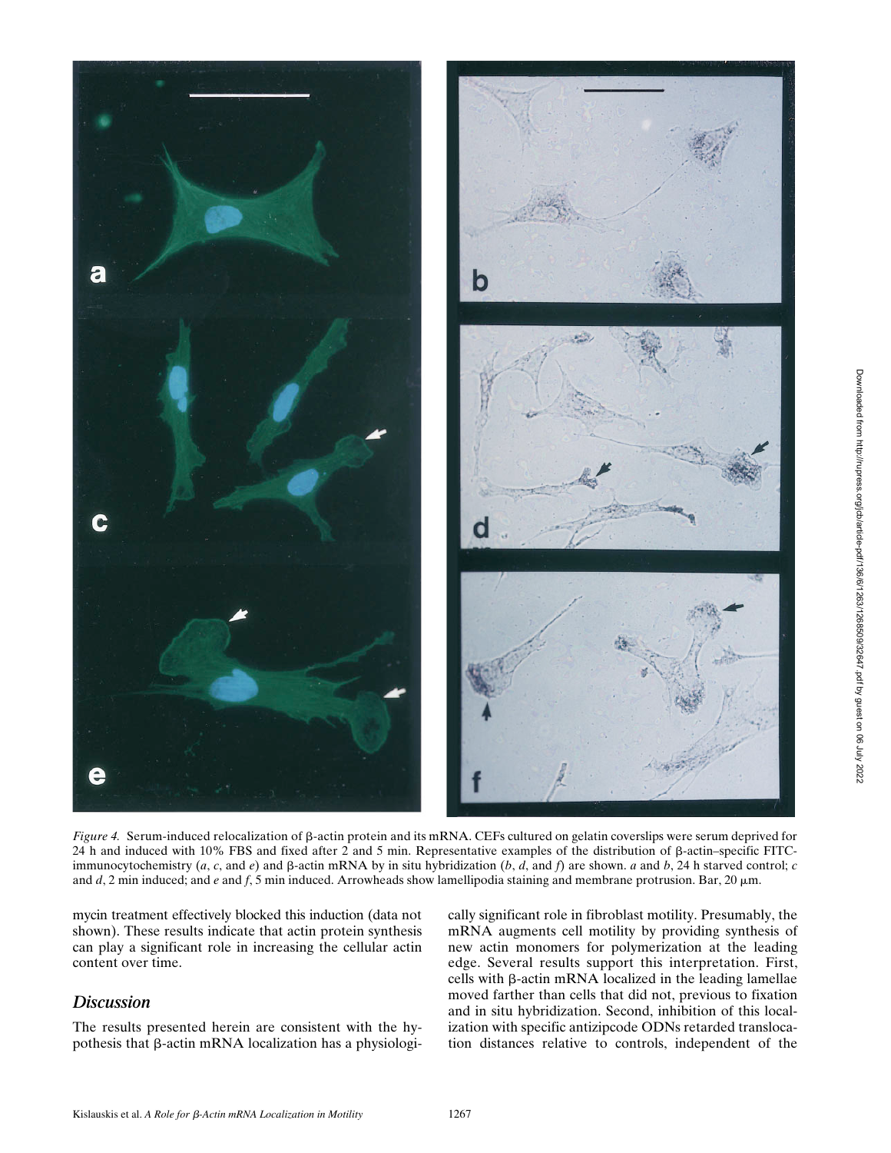

*Figure 4.* Serum-induced relocalization of  $\beta$ -actin protein and its mRNA. CEFs cultured on gelatin coverslips were serum deprived for 24 h and induced with 10% FBS and fixed after 2 and 5 min. Representative examples of the distribution of b-actin–specific FITCimmunocytochemistry  $(a, c,$  and  $e)$  and  $\beta$ -actin mRNA by in situ hybridization  $(b, d,$  and  $f)$  are shown. *a* and  $b$ , 24 h starved control; *c* and *d*, 2 min induced; and *e* and *f*, 5 min induced. Arrowheads show lamellipodia staining and membrane protrusion. Bar, 20  $\mu$ m.

mycin treatment effectively blocked this induction (data not shown). These results indicate that actin protein synthesis can play a significant role in increasing the cellular actin content over time.

### *Discussion*

The results presented herein are consistent with the hypothesis that  $\beta$ -actin mRNA localization has a physiologically significant role in fibroblast motility. Presumably, the mRNA augments cell motility by providing synthesis of new actin monomers for polymerization at the leading edge. Several results support this interpretation. First, cells with  $\beta$ -actin mRNA localized in the leading lamellae moved farther than cells that did not, previous to fixation and in situ hybridization. Second, inhibition of this localization with specific antizipcode ODNs retarded translocation distances relative to controls, independent of the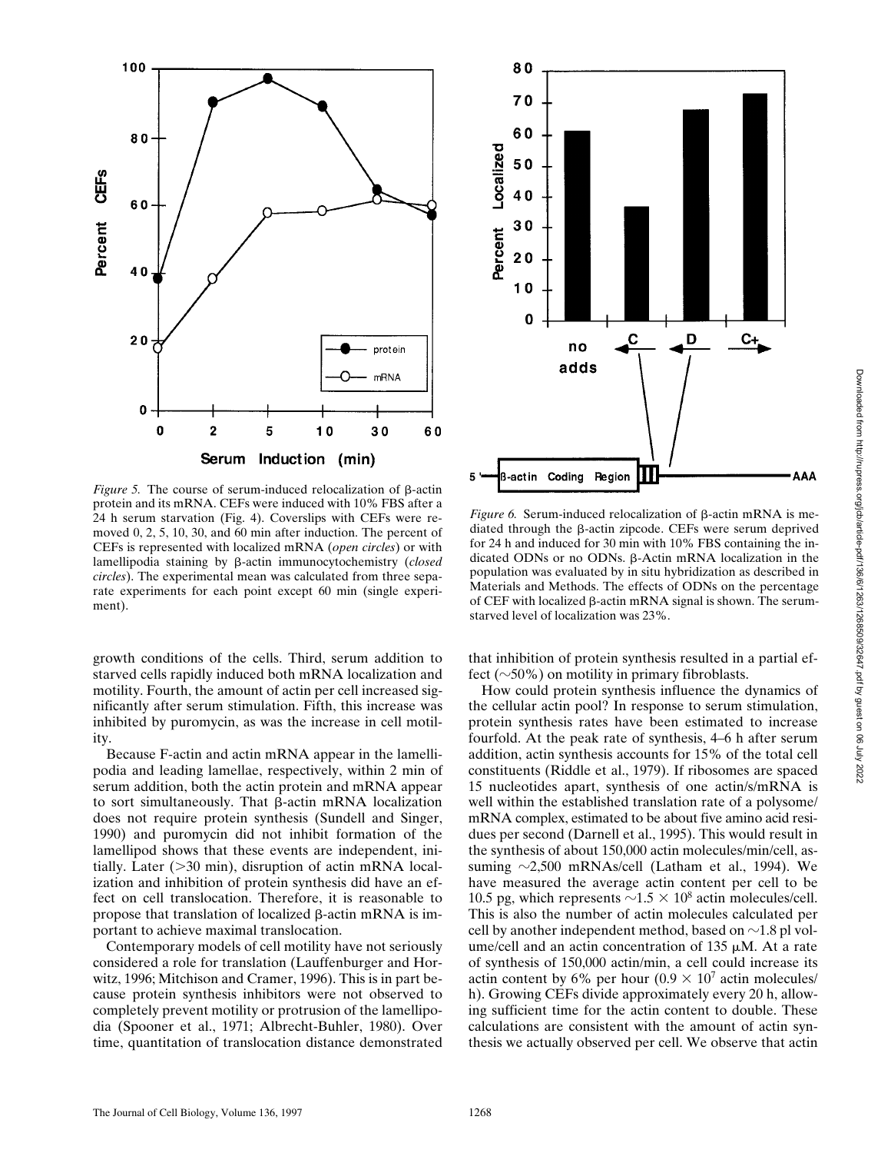

*Figure 5.* The course of serum-induced relocalization of  $\beta$ -actin protein and its mRNA. CEFs were induced with 10% FBS after a 24 h serum starvation (Fig. 4). Coverslips with CEFs were removed 0, 2, 5, 10, 30, and 60 min after induction. The percent of CEFs is represented with localized mRNA (*open circles*) or with lamellipodia staining by b-actin immunocytochemistry (*closed circles*). The experimental mean was calculated from three separate experiments for each point except 60 min (single experiment).

growth conditions of the cells. Third, serum addition to starved cells rapidly induced both mRNA localization and motility. Fourth, the amount of actin per cell increased significantly after serum stimulation. Fifth, this increase was inhibited by puromycin, as was the increase in cell motility.

Because F-actin and actin mRNA appear in the lamellipodia and leading lamellae, respectively, within 2 min of serum addition, both the actin protein and mRNA appear to sort simultaneously. That  $\beta$ -actin mRNA localization does not require protein synthesis (Sundell and Singer, 1990) and puromycin did not inhibit formation of the lamellipod shows that these events are independent, initially. Later  $(>=30 \text{ min})$ , disruption of actin mRNA localization and inhibition of protein synthesis did have an effect on cell translocation. Therefore, it is reasonable to propose that translation of localized  $\beta$ -actin mRNA is important to achieve maximal translocation.

Contemporary models of cell motility have not seriously considered a role for translation (Lauffenburger and Horwitz, 1996; Mitchison and Cramer, 1996). This is in part because protein synthesis inhibitors were not observed to completely prevent motility or protrusion of the lamellipodia (Spooner et al., 1971; Albrecht-Buhler, 1980). Over time, quantitation of translocation distance demonstrated



*Figure 6.* Serum-induced relocalization of  $\beta$ -actin mRNA is mediated through the  $\beta$ -actin zipcode. CEFs were serum deprived for 24 h and induced for 30 min with 10% FBS containing the indicated ODNs or no ODNs.  $\beta$ -Actin mRNA localization in the population was evaluated by in situ hybridization as described in Materials and Methods. The effects of ODNs on the percentage of CEF with localized  $\beta$ -actin mRNA signal is shown. The serumstarved level of localization was 23%.

that inhibition of protein synthesis resulted in a partial effect ( $\sim$ 50%) on motility in primary fibroblasts.

How could protein synthesis influence the dynamics of the cellular actin pool? In response to serum stimulation, protein synthesis rates have been estimated to increase fourfold. At the peak rate of synthesis, 4–6 h after serum addition, actin synthesis accounts for 15% of the total cell constituents (Riddle et al., 1979). If ribosomes are spaced 15 nucleotides apart, synthesis of one actin/s/mRNA is well within the established translation rate of a polysome/ mRNA complex, estimated to be about five amino acid residues per second (Darnell et al., 1995). This would result in the synthesis of about 150,000 actin molecules/min/cell, assuming  $\sim$ 2,500 mRNAs/cell (Latham et al., 1994). We have measured the average actin content per cell to be 10.5 pg, which represents  $\sim$ 1.5  $\times$  10<sup>8</sup> actin molecules/cell. This is also the number of actin molecules calculated per cell by another independent method, based on  $\sim$ 1.8 pl volume/cell and an actin concentration of 135  $\mu$ M. At a rate of synthesis of 150,000 actin/min, a cell could increase its actin content by 6% per hour  $(0.9 \times 10^7 \text{ act in molecules})$ h). Growing CEFs divide approximately every 20 h, allowing sufficient time for the actin content to double. These calculations are consistent with the amount of actin synthesis we actually observed per cell. We observe that actin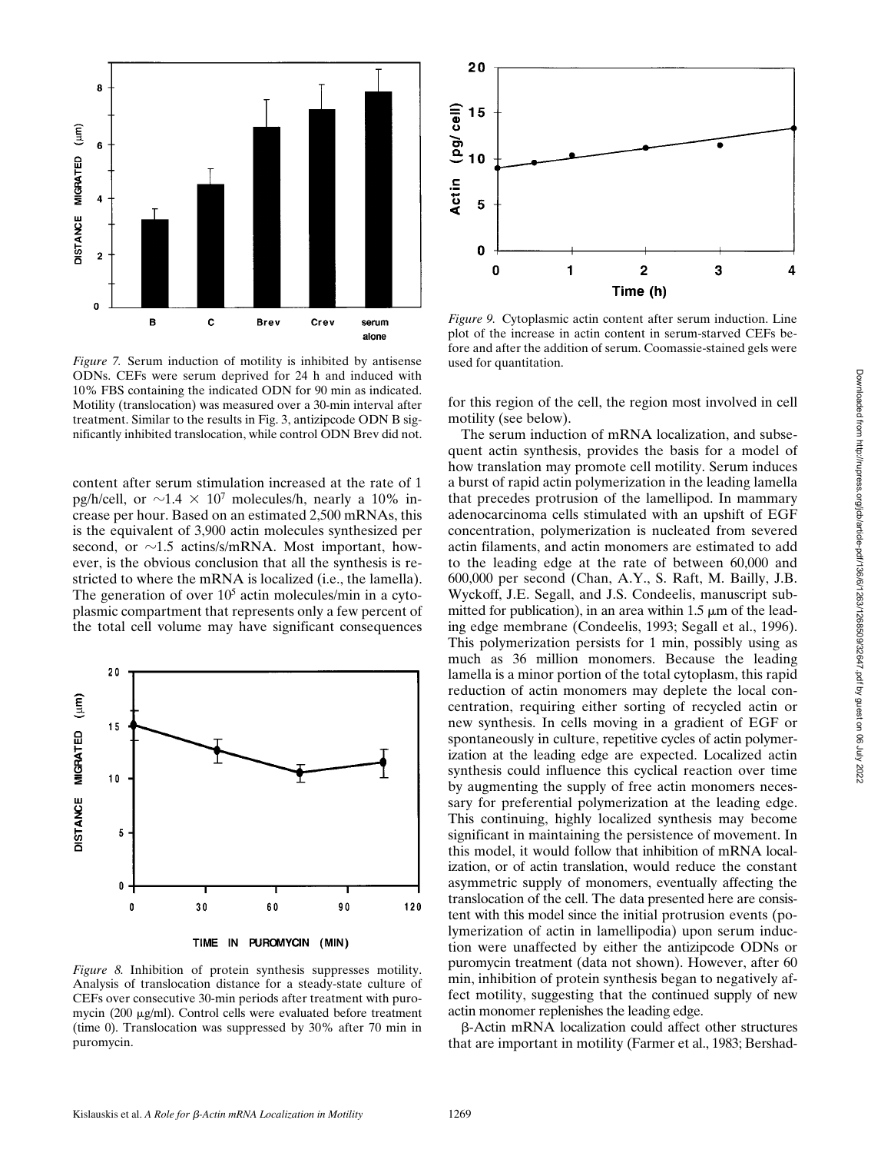

*Figure 7.* Serum induction of motility is inhibited by antisense ODNs. CEFs were serum deprived for 24 h and induced with 10% FBS containing the indicated ODN for 90 min as indicated. Motility (translocation) was measured over a 30-min interval after treatment. Similar to the results in Fig. 3, antizipcode ODN B significantly inhibited translocation, while control ODN Brev did not.

content after serum stimulation increased at the rate of 1 pg/h/cell, or  $\sim$ 1.4  $\times$  10<sup>7</sup> molecules/h, nearly a 10% increase per hour. Based on an estimated 2,500 mRNAs, this is the equivalent of 3,900 actin molecules synthesized per second, or  $\sim$ 1.5 actins/s/mRNA. Most important, however, is the obvious conclusion that all the synthesis is restricted to where the mRNA is localized (i.e., the lamella). The generation of over  $10<sup>5</sup>$  actin molecules/min in a cytoplasmic compartment that represents only a few percent of the total cell volume may have significant consequences



TIME IN PUROMYCIN (MIN)

*Figure 8.* Inhibition of protein synthesis suppresses motility. Analysis of translocation distance for a steady-state culture of CEFs over consecutive 30-min periods after treatment with puromycin (200 µg/ml). Control cells were evaluated before treatment (time 0). Translocation was suppressed by 30% after 70 min in puromycin.



*Figure 9.* Cytoplasmic actin content after serum induction. Line plot of the increase in actin content in serum-starved CEFs before and after the addition of serum. Coomassie-stained gels were used for quantitation.

for this region of the cell, the region most involved in cell motility (see below).

The serum induction of mRNA localization, and subsequent actin synthesis, provides the basis for a model of how translation may promote cell motility. Serum induces a burst of rapid actin polymerization in the leading lamella that precedes protrusion of the lamellipod. In mammary adenocarcinoma cells stimulated with an upshift of EGF concentration, polymerization is nucleated from severed actin filaments, and actin monomers are estimated to add to the leading edge at the rate of between 60,000 and 600,000 per second (Chan, A.Y., S. Raft, M. Bailly, J.B. Wyckoff, J.E. Segall, and J.S. Condeelis, manuscript submitted for publication), in an area within  $1.5 \mu m$  of the leading edge membrane (Condeelis, 1993; Segall et al., 1996). This polymerization persists for 1 min, possibly using as much as 36 million monomers. Because the leading lamella is a minor portion of the total cytoplasm, this rapid reduction of actin monomers may deplete the local concentration, requiring either sorting of recycled actin or new synthesis. In cells moving in a gradient of EGF or spontaneously in culture, repetitive cycles of actin polymerization at the leading edge are expected. Localized actin synthesis could influence this cyclical reaction over time by augmenting the supply of free actin monomers necessary for preferential polymerization at the leading edge. This continuing, highly localized synthesis may become significant in maintaining the persistence of movement. In this model, it would follow that inhibition of mRNA localization, or of actin translation, would reduce the constant asymmetric supply of monomers, eventually affecting the translocation of the cell. The data presented here are consistent with this model since the initial protrusion events (polymerization of actin in lamellipodia) upon serum induction were unaffected by either the antizipcode ODNs or puromycin treatment (data not shown). However, after 60 min, inhibition of protein synthesis began to negatively affect motility, suggesting that the continued supply of new actin monomer replenishes the leading edge.

b-Actin mRNA localization could affect other structures that are important in motility (Farmer et al., 1983; Bershad